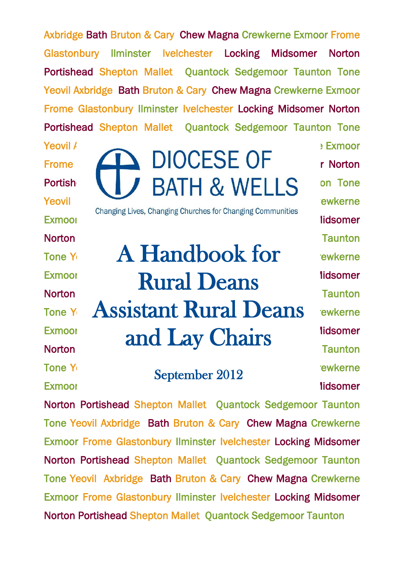Axbridge Bath Bruton & Cary Chew Magna Crewkerne Exmoor Frome Glastonbury Ilminster Ivelchester Locking Midsomer Norton Portishead Shepton Mallet Ouantock Sedgemoor Taunton Tone Yeovil Axbridge Bath Bruton & Cary Chew Magna Crewkerne Exmoor Frome Glastonbury Ilminster Ivelchester Locking Midsomer Norton Portishead Shepton Mallet Quantock Sedgemoor Taunton Tone

Yeovil Axbridge Bath Bruton & Cary Chew Magna Crewkerne Exmoor

- 
- 

Portish **NIJ BATH & WELLS** on Tone Yeovil Axbridge Bath Bruton Bruton & Cary Chew Magna Crewkerne Exmoor From Glassic Locking Glassic Locking Midsomer Indiscomer Norton Portishead Shepton Mallet Quantock Sedgemoor Taunton Mallet Quantock Sedgemoor Taunton Tone Yeovil A Handbook for the Viewkerne Exmoor **France Rural Deans** Iidsomer Norton **Portishead Shepton Shepton Mallet Quantock Sedan Shepton** Taunton Tone Y Assistant Rural Deans ewkerne  $Exmoo$   $\qquad$   $\qquad$   $\qquad$   $\qquad$   $\qquad$   $\qquad$   $\qquad$   $\qquad$   $\qquad$   $\qquad$   $\qquad$   $\qquad$   $\qquad$   $\qquad$   $\qquad$   $\qquad$   $\qquad$   $\qquad$   $\qquad$   $\qquad$   $\qquad$   $\qquad$   $\qquad$   $\qquad$   $\qquad$   $\qquad$   $\qquad$   $\qquad$   $\qquad$   $\qquad$   $\qquad$   $\qquad$   $\qquad$   $\qquad$   $\qquad$   $\qquad$ Exmoor and Lay Chairs lidsomer<br>Norton Taunton

Tone Yeoview Axbridge Bath Bruton Bruton & Carey Chew Magna Crewkerne September 2012

Frome  $\sum$  DIOCESE OF r Norton Exmoor From Glastonbury Indian Glastonbury Indian Glastonbury Indian Midsomer

Norton Portishead Shepton Mallet Quantock Sedgemoor Taunton Tone Yeovil Axbridge Bath Bruton & Cary Chew Magna Crewkerne Exmoor Frome Glastonbury Ilminster Ivelchester Locking Midsomer Norton Portishead Shepton Mallet Quantock Sedgemoor Taunton Tone Yeovil Axbridge Bath Bruton & Cary Chew Magna Crewkerne Exmoor Frome Glastonbury Ilminster Ivelchester Locking Midsomer Norton Portishead Shepton Mallet Quantock Sedgemoor Taunton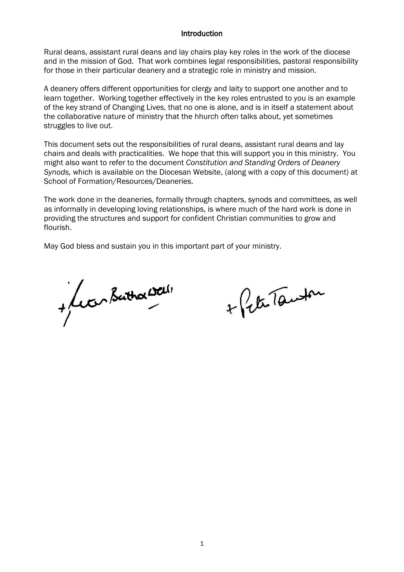#### **Introduction**

Rural deans, assistant rural deans and lay chairs play key roles in the work of the diocese and in the mission of God. That work combines legal responsibilities, pastoral responsibility for those in their particular deanery and a strategic role in ministry and mission.

A deanery offers different opportunities for clergy and laity to support one another and to learn together. Working together effectively in the key roles entrusted to you is an example of the key strand of Changing Lives, that no one is alone, and is in itself a statement about the collaborative nature of ministry that the hhurch often talks about, yet sometimes struggles to live out.

This document sets out the responsibilities of rural deans, assistant rural deans and lay chairs and deals with practicalities. We hope that this will support you in this ministry. You might also want to refer to the document *Constitution and Standing Orders of Deanery Synods,* which is available on the Diocesan Website, (along with a copy of this document) at School of Formation/Resources/Deaneries.

The work done in the deaneries, formally through chapters, synods and committees, as well as informally in developing loving relationships, is where much of the hard work is done in providing the structures and support for confident Christian communities to grow and flourish.

May God bless and sustain you in this important part of your ministry.

+ Lecen Bathor Well

+ Peter Tanton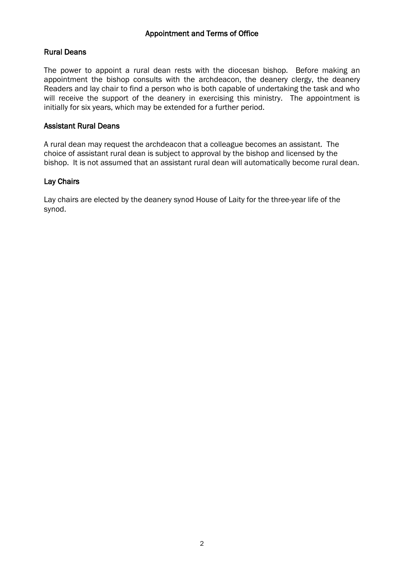## Rural Deans

The power to appoint a rural dean rests with the diocesan bishop. Before making an appointment the bishop consults with the archdeacon, the deanery clergy, the deanery Readers and lay chair to find a person who is both capable of undertaking the task and who will receive the support of the deanery in exercising this ministry. The appointment is initially for six years, which may be extended for a further period.

### Assistant Rural Deans

A rural dean may request the archdeacon that a colleague becomes an assistant. The choice of assistant rural dean is subject to approval by the bishop and licensed by the bishop. It is not assumed that an assistant rural dean will automatically become rural dean.

## Lay Chairs

Lay chairs are elected by the deanery synod House of Laity for the three-year life of the synod.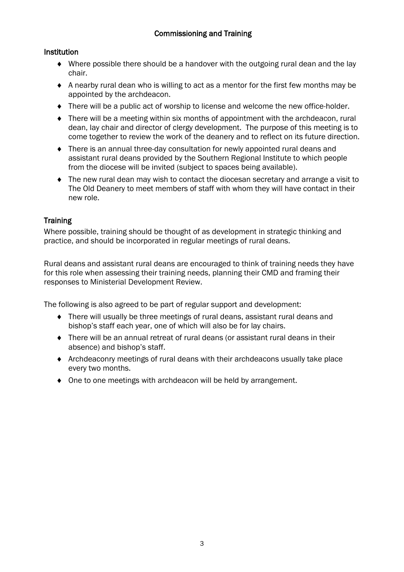# Institution

- Where possible there should be a handover with the outgoing rural dean and the lay chair.
- A nearby rural dean who is willing to act as a mentor for the first few months may be appointed by the archdeacon.
- There will be a public act of worship to license and welcome the new office-holder.
- There will be a meeting within six months of appointment with the archdeacon, rural dean, lay chair and director of clergy development. The purpose of this meeting is to come together to review the work of the deanery and to reflect on its future direction.
- There is an annual three-day consultation for newly appointed rural deans and assistant rural deans provided by the Southern Regional Institute to which people from the diocese will be invited (subject to spaces being available).
- The new rural dean may wish to contact the diocesan secretary and arrange a visit to The Old Deanery to meet members of staff with whom they will have contact in their new role.

# **Training**

Where possible, training should be thought of as development in strategic thinking and practice, and should be incorporated in regular meetings of rural deans.

Rural deans and assistant rural deans are encouraged to think of training needs they have for this role when assessing their training needs, planning their CMD and framing their responses to Ministerial Development Review.

The following is also agreed to be part of regular support and development:

- There will usually be three meetings of rural deans, assistant rural deans and bishop's staff each year, one of which will also be for lay chairs.
- There will be an annual retreat of rural deans (or assistant rural deans in their absence) and bishop's staff.
- Archdeaconry meetings of rural deans with their archdeacons usually take place every two months.
- One to one meetings with archdeacon will be held by arrangement.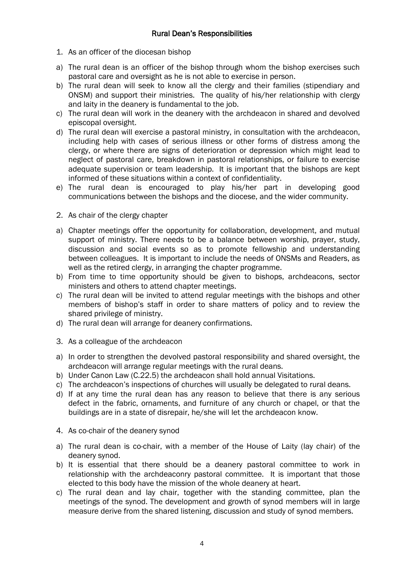- 1. As an officer of the diocesan bishop
- a) The rural dean is an officer of the bishop through whom the bishop exercises such pastoral care and oversight as he is not able to exercise in person.
- b) The rural dean will seek to know all the clergy and their families (stipendiary and ONSM) and support their ministries. The quality of his/her relationship with clergy and laity in the deanery is fundamental to the job.
- c) The rural dean will work in the deanery with the archdeacon in shared and devolved episcopal oversight.
- d) The rural dean will exercise a pastoral ministry, in consultation with the archdeacon, including help with cases of serious illness or other forms of distress among the clergy, or where there are signs of deterioration or depression which might lead to neglect of pastoral care, breakdown in pastoral relationships, or failure to exercise adequate supervision or team leadership. It is important that the bishops are kept informed of these situations within a context of confidentiality.
- e) The rural dean is encouraged to play his/her part in developing good communications between the bishops and the diocese, and the wider community.
- 2. As chair of the clergy chapter
- a) Chapter meetings offer the opportunity for collaboration, development, and mutual support of ministry. There needs to be a balance between worship, prayer, study, discussion and social events so as to promote fellowship and understanding between colleagues. It is important to include the needs of ONSMs and Readers, as well as the retired clergy, in arranging the chapter programme.
- b) From time to time opportunity should be given to bishops, archdeacons, sector ministers and others to attend chapter meetings.
- c) The rural dean will be invited to attend regular meetings with the bishops and other members of bishop's staff in order to share matters of policy and to review the shared privilege of ministry.
- d) The rural dean will arrange for deanery confirmations.
- 3. As a colleague of the archdeacon
- a) In order to strengthen the devolved pastoral responsibility and shared oversight, the archdeacon will arrange regular meetings with the rural deans.
- b) Under Canon Law (C.22.5) the archdeacon shall hold annual Visitations.
- c) The archdeacon's inspections of churches will usually be delegated to rural deans.
- d) If at any time the rural dean has any reason to believe that there is any serious defect in the fabric, ornaments, and furniture of any church or chapel, or that the buildings are in a state of disrepair, he/she will let the archdeacon know.
- 4. As co-chair of the deanery synod
- a) The rural dean is co-chair, with a member of the House of Laity (lay chair) of the deanery synod.
- b) It is essential that there should be a deanery pastoral committee to work in relationship with the archdeaconry pastoral committee. It is important that those elected to this body have the mission of the whole deanery at heart.
- c) The rural dean and lay chair, together with the standing committee, plan the meetings of the synod. The development and growth of synod members will in large measure derive from the shared listening, discussion and study of synod members.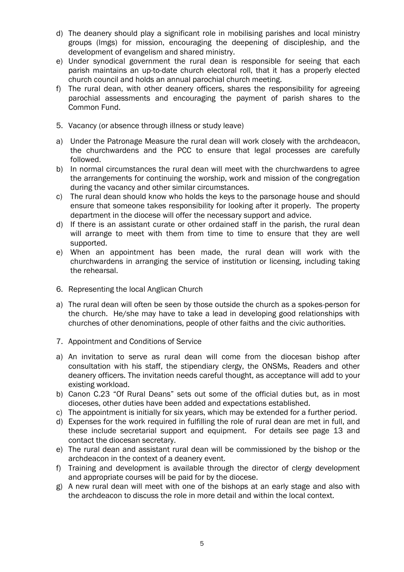- d) The deanery should play a significant role in mobilising parishes and local ministry groups (lmgs) for mission, encouraging the deepening of discipleship, and the development of evangelism and shared ministry.
- e) Under synodical government the rural dean is responsible for seeing that each parish maintains an up-to-date church electoral roll, that it has a properly elected church council and holds an annual parochial church meeting.
- f) The rural dean, with other deanery officers, shares the responsibility for agreeing parochial assessments and encouraging the payment of parish shares to the Common Fund.
- 5. Vacancy (or absence through illness or study leave)
- a) Under the Patronage Measure the rural dean will work closely with the archdeacon, the churchwardens and the PCC to ensure that legal processes are carefully followed.
- b) In normal circumstances the rural dean will meet with the churchwardens to agree the arrangements for continuing the worship, work and mission of the congregation during the vacancy and other similar circumstances.
- c) The rural dean should know who holds the keys to the parsonage house and should ensure that someone takes responsibility for looking after it properly. The property department in the diocese will offer the necessary support and advice.
- d) If there is an assistant curate or other ordained staff in the parish, the rural dean will arrange to meet with them from time to time to ensure that they are well supported.
- e) When an appointment has been made, the rural dean will work with the churchwardens in arranging the service of institution or licensing, including taking the rehearsal.
- 6. Representing the local Anglican Church
- a) The rural dean will often be seen by those outside the church as a spokes-person for the church. He/she may have to take a lead in developing good relationships with churches of other denominations, people of other faiths and the civic authorities.
- 7. Appointment and Conditions of Service
- a) An invitation to serve as rural dean will come from the diocesan bishop after consultation with his staff, the stipendiary clergy, the ONSMs, Readers and other deanery officers. The invitation needs careful thought, as acceptance will add to your existing workload.
- b) Canon C.23 "Of Rural Deans" sets out some of the official duties but, as in most dioceses, other duties have been added and expectations established.
- c) The appointment is initially for six years, which may be extended for a further period.
- d) Expenses for the work required in fulfilling the role of rural dean are met in full, and these include secretarial support and equipment. For details see page 13 and contact the diocesan secretary.
- e) The rural dean and assistant rural dean will be commissioned by the bishop or the archdeacon in the context of a deanery event.
- f) Training and development is available through the director of clergy development and appropriate courses will be paid for by the diocese.
- g) A new rural dean will meet with one of the bishops at an early stage and also with the archdeacon to discuss the role in more detail and within the local context.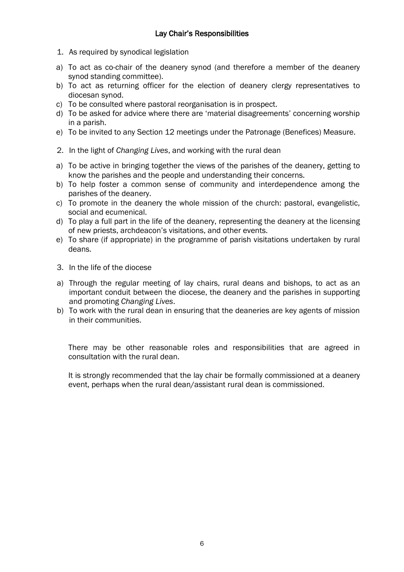- 1. As required by synodical legislation
- a) To act as co-chair of the deanery synod (and therefore a member of the deanery synod standing committee).
- b) To act as returning officer for the election of deanery clergy representatives to diocesan synod.
- c) To be consulted where pastoral reorganisation is in prospect.
- d) To be asked for advice where there are 'material disagreements' concerning worship in a parish.
- e) To be invited to any Section 12 meetings under the Patronage (Benefices) Measure.
- 2. In the light of *Changing Lives*, and working with the rural dean
- a) To be active in bringing together the views of the parishes of the deanery, getting to know the parishes and the people and understanding their concerns.
- b) To help foster a common sense of community and interdependence among the parishes of the deanery.
- c) To promote in the deanery the whole mission of the church: pastoral, evangelistic, social and ecumenical.
- d) To play a full part in the life of the deanery, representing the deanery at the licensing of new priests, archdeacon's visitations, and other events.
- e) To share (if appropriate) in the programme of parish visitations undertaken by rural deans.
- 3. In the life of the diocese
- a) Through the regular meeting of lay chairs, rural deans and bishops, to act as an important conduit between the diocese, the deanery and the parishes in supporting and promoting *Changing Lives*.
- b) To work with the rural dean in ensuring that the deaneries are key agents of mission in their communities.

There may be other reasonable roles and responsibilities that are agreed in consultation with the rural dean.

It is strongly recommended that the lay chair be formally commissioned at a deanery event, perhaps when the rural dean/assistant rural dean is commissioned.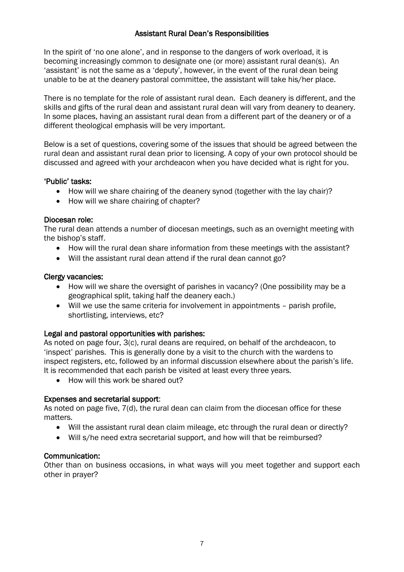## Assistant Rural Dean's Responsibilities

In the spirit of 'no one alone', and in response to the dangers of work overload, it is becoming increasingly common to designate one (or more) assistant rural dean(s). An 'assistant' is not the same as a 'deputy', however, in the event of the rural dean being unable to be at the deanery pastoral committee, the assistant will take his/her place.

There is no template for the role of assistant rural dean. Each deanery is different, and the skills and gifts of the rural dean and assistant rural dean will vary from deanery to deanery. In some places, having an assistant rural dean from a different part of the deanery or of a different theological emphasis will be very important.

Below is a set of questions, covering some of the issues that should be agreed between the rural dean and assistant rural dean prior to licensing. A copy of your own protocol should be discussed and agreed with your archdeacon when you have decided what is right for you.

### 'Public' tasks:

- How will we share chairing of the deanery synod (together with the lay chair)?
- How will we share chairing of chapter?

### Diocesan role:

The rural dean attends a number of diocesan meetings, such as an overnight meeting with the bishop's staff.

- How will the rural dean share information from these meetings with the assistant?
- Will the assistant rural dean attend if the rural dean cannot go?

### Clergy vacancies:

- How will we share the oversight of parishes in vacancy? (One possibility may be a geographical split, taking half the deanery each.)
- Will we use the same criteria for involvement in appointments parish profile, shortlisting, interviews, etc?

## Legal and pastoral opportunities with parishes:

As noted on page four, 3(c), rural deans are required, on behalf of the archdeacon, to 'inspect' parishes. This is generally done by a visit to the church with the wardens to inspect registers, etc, followed by an informal discussion elsewhere about the parish's life. It is recommended that each parish be visited at least every three years.

• How will this work be shared out?

## Expenses and secretarial support:

As noted on page five, 7(d), the rural dean can claim from the diocesan office for these matters.

- Will the assistant rural dean claim mileage, etc through the rural dean or directly?
- Will s/he need extra secretarial support, and how will that be reimbursed?

#### Communication:

Other than on business occasions, in what ways will you meet together and support each other in prayer?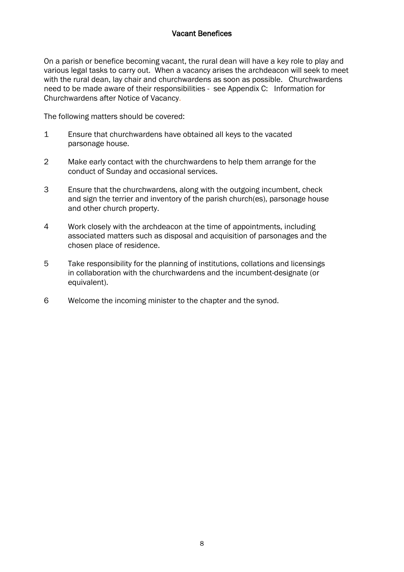## Vacant Benefices

On a parish or benefice becoming vacant, the rural dean will have a key role to play and various legal tasks to carry out. When a vacancy arises the archdeacon will seek to meet with the rural dean, lay chair and churchwardens as soon as possible. Churchwardens need to be made aware of their responsibilities - see Appendix C: Information for Churchwardens after Notice of Vacancy.

The following matters should be covered:

- 1 Ensure that churchwardens have obtained all keys to the vacated parsonage house.
- 2 Make early contact with the churchwardens to help them arrange for the conduct of Sunday and occasional services.
- 3 Ensure that the churchwardens, along with the outgoing incumbent, check and sign the terrier and inventory of the parish church(es), parsonage house and other church property.
- 4 Work closely with the archdeacon at the time of appointments, including associated matters such as disposal and acquisition of parsonages and the chosen place of residence.
- 5 Take responsibility for the planning of institutions, collations and licensings in collaboration with the churchwardens and the incumbent-designate (or equivalent).
- 6 Welcome the incoming minister to the chapter and the synod.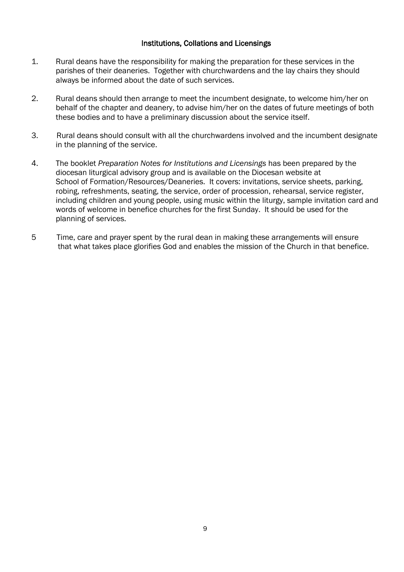### Institutions, Collations and Licensings

- 1. Rural deans have the responsibility for making the preparation for these services in the parishes of their deaneries. Together with churchwardens and the lay chairs they should always be informed about the date of such services.
- 2. Rural deans should then arrange to meet the incumbent designate, to welcome him/her on behalf of the chapter and deanery, to advise him/her on the dates of future meetings of both these bodies and to have a preliminary discussion about the service itself.
- 3. Rural deans should consult with all the churchwardens involved and the incumbent designate in the planning of the service.
- 4. The booklet *Preparation Notes for Institutions and Licensings* has been prepared by the diocesan liturgical advisory group and is available on the Diocesan website at School of Formation/Resources/Deaneries. It covers: invitations, service sheets, parking, robing, refreshments, seating, the service, order of procession, rehearsal, service register, including children and young people, using music within the liturgy, sample invitation card and words of welcome in benefice churches for the first Sunday. It should be used for the planning of services.
- 5 Time, care and prayer spent by the rural dean in making these arrangements will ensure that what takes place glorifies God and enables the mission of the Church in that benefice.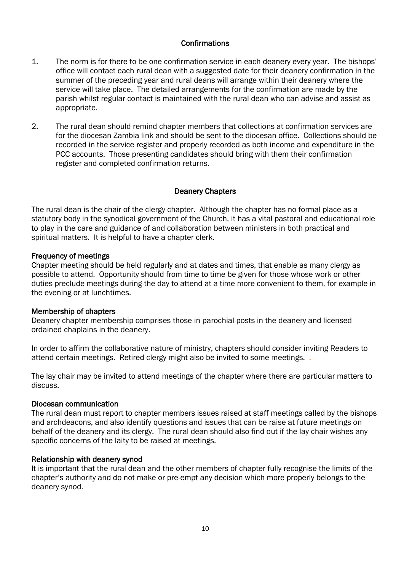### **Confirmations**

- 1. The norm is for there to be one confirmation service in each deanery every year. The bishops' office will contact each rural dean with a suggested date for their deanery confirmation in the summer of the preceding year and rural deans will arrange within their deanery where the service will take place. The detailed arrangements for the confirmation are made by the parish whilst regular contact is maintained with the rural dean who can advise and assist as appropriate.
- 2. The rural dean should remind chapter members that collections at confirmation services are for the diocesan Zambia link and should be sent to the diocesan office. Collections should be recorded in the service register and properly recorded as both income and expenditure in the PCC accounts. Those presenting candidates should bring with them their confirmation register and completed confirmation returns.

## Deanery Chapters

The rural dean is the chair of the clergy chapter. Although the chapter has no formal place as a statutory body in the synodical government of the Church, it has a vital pastoral and educational role to play in the care and guidance of and collaboration between ministers in both practical and spiritual matters. It is helpful to have a chapter clerk.

### Frequency of meetings

Chapter meeting should be held regularly and at dates and times, that enable as many clergy as possible to attend. Opportunity should from time to time be given for those whose work or other duties preclude meetings during the day to attend at a time more convenient to them, for example in the evening or at lunchtimes.

#### Membership of chapters

Deanery chapter membership comprises those in parochial posts in the deanery and licensed ordained chaplains in the deanery.

In order to affirm the collaborative nature of ministry, chapters should consider inviting Readers to attend certain meetings. Retired clergy might also be invited to some meetings. .

The lay chair may be invited to attend meetings of the chapter where there are particular matters to discuss.

#### Diocesan communication

The rural dean must report to chapter members issues raised at staff meetings called by the bishops and archdeacons, and also identify questions and issues that can be raise at future meetings on behalf of the deanery and its clergy. The rural dean should also find out if the lay chair wishes any specific concerns of the laity to be raised at meetings.

#### Relationship with deanery synod

It is important that the rural dean and the other members of chapter fully recognise the limits of the chapter's authority and do not make or pre-empt any decision which more properly belongs to the deanery synod.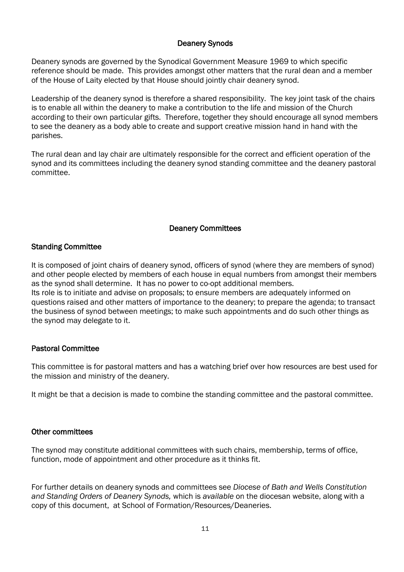## Deanery Synods

Deanery synods are governed by the Synodical Government Measure 1969 to which specific reference should be made. This provides amongst other matters that the rural dean and a member of the House of Laity elected by that House should jointly chair deanery synod.

Leadership of the deanery synod is therefore a shared responsibility. The key joint task of the chairs is to enable all within the deanery to make a contribution to the life and mission of the Church according to their own particular gifts. Therefore, together they should encourage all synod members to see the deanery as a body able to create and support creative mission hand in hand with the parishes.

The rural dean and lay chair are ultimately responsible for the correct and efficient operation of the synod and its committees including the deanery synod standing committee and the deanery pastoral committee.

## Deanery Committees

### Standing Committee

It is composed of joint chairs of deanery synod, officers of synod (where they are members of synod) and other people elected by members of each house in equal numbers from amongst their members as the synod shall determine. It has no power to co-opt additional members. Its role is to initiate and advise on proposals; to ensure members are adequately informed on questions raised and other matters of importance to the deanery; to prepare the agenda; to transact the business of synod between meetings; to make such appointments and do such other things as the synod may delegate to it.

## Pastoral Committee

This committee is for pastoral matters and has a watching brief over how resources are best used for the mission and ministry of the deanery.

It might be that a decision is made to combine the standing committee and the pastoral committee.

#### Other committees

The synod may constitute additional committees with such chairs, membership, terms of office, function, mode of appointment and other procedure as it thinks fit.

For further details on deanery synods and committees see *Diocese of Bath and Wells Constitution and Standing Orders of Deanery Synods,* which is *available* on the diocesan website, along with a copy of this document, at School of Formation/Resources/Deaneries.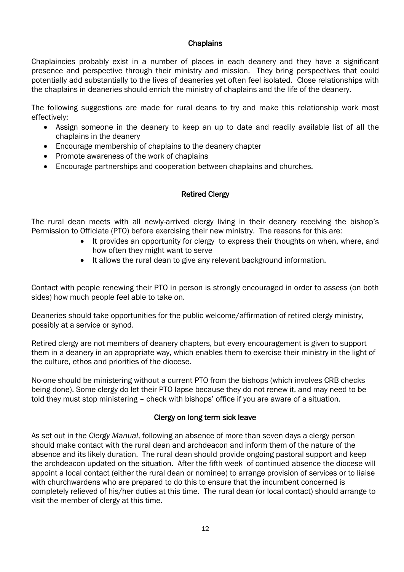### **Chaplains**

Chaplaincies probably exist in a number of places in each deanery and they have a significant presence and perspective through their ministry and mission. They bring perspectives that could potentially add substantially to the lives of deaneries yet often feel isolated. Close relationships with the chaplains in deaneries should enrich the ministry of chaplains and the life of the deanery.

The following suggestions are made for rural deans to try and make this relationship work most effectively:

- Assign someone in the deanery to keep an up to date and readily available list of all the chaplains in the deanery
- Encourage membership of chaplains to the deanery chapter
- Promote awareness of the work of chaplains
- Encourage partnerships and cooperation between chaplains and churches.

# Retired Clergy

The rural dean meets with all newly-arrived clergy living in their deanery receiving the bishop's Permission to Officiate (PTO) before exercising their new ministry. The reasons for this are:

- It provides an opportunity for clergy to express their thoughts on when, where, and how often they might want to serve
- $\bullet$  It allows the rural dean to give any relevant background information.

Contact with people renewing their PTO in person is strongly encouraged in order to assess (on both sides) how much people feel able to take on.

Deaneries should take opportunities for the public welcome/affirmation of retired clergy ministry, possibly at a service or synod.

Retired clergy are not members of deanery chapters, but every encouragement is given to support them in a deanery in an appropriate way, which enables them to exercise their ministry in the light of the culture, ethos and priorities of the diocese.

No-one should be ministering without a current PTO from the bishops (which involves CRB checks being done). Some clergy do let their PTO lapse because they do not renew it, and may need to be told they must stop ministering – check with bishops' office if you are aware of a situation.

## Clergy on long term sick leave

As set out in the *Clergy Manual*, following an absence of more than seven days a clergy person should make contact with the rural dean and archdeacon and inform them of the nature of the absence and its likely duration. The rural dean should provide ongoing pastoral support and keep the archdeacon updated on the situation. After the fifth week of continued absence the diocese will appoint a local contact (either the rural dean or nominee) to arrange provision of services or to liaise with churchwardens who are prepared to do this to ensure that the incumbent concerned is completely relieved of his/her duties at this time. The rural dean (or local contact) should arrange to visit the member of clergy at this time.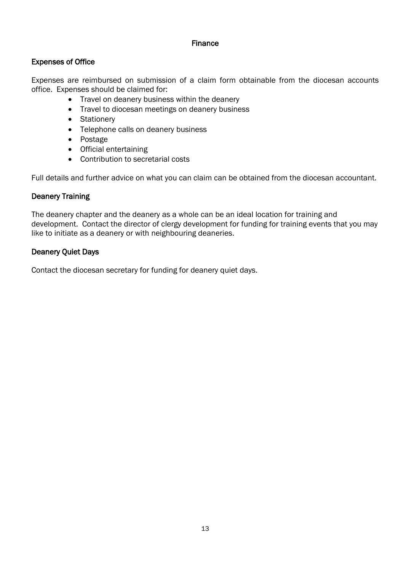### Finance

## Expenses of Office

Expenses are reimbursed on submission of a claim form obtainable from the diocesan accounts office. Expenses should be claimed for:

- Travel on deanery business within the deanery
- Travel to diocesan meetings on deanery business
- Stationery
- Telephone calls on deanery business
- Postage
- Official entertaining
- Contribution to secretarial costs

Full details and further advice on what you can claim can be obtained from the diocesan accountant.

## Deanery Training

The deanery chapter and the deanery as a whole can be an ideal location for training and development. Contact the director of clergy development for funding for training events that you may like to initiate as a deanery or with neighbouring deaneries.

## Deanery Quiet Days

Contact the diocesan secretary for funding for deanery quiet days.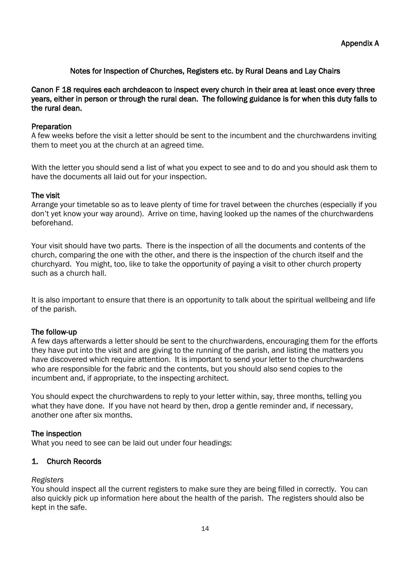## Notes for Inspection of Churches, Registers etc. by Rural Deans and Lay Chairs

Canon F 18 requires each archdeacon to inspect every church in their area at least once every three years, either in person or through the rural dean. The following guidance is for when this duty falls to the rural dean.

### Preparation

A few weeks before the visit a letter should be sent to the incumbent and the churchwardens inviting them to meet you at the church at an agreed time.

With the letter you should send a list of what you expect to see and to do and you should ask them to have the documents all laid out for your inspection.

#### The visit

Arrange your timetable so as to leave plenty of time for travel between the churches (especially if you don't yet know your way around). Arrive on time, having looked up the names of the churchwardens beforehand.

Your visit should have two parts. There is the inspection of all the documents and contents of the church, comparing the one with the other, and there is the inspection of the church itself and the churchyard. You might, too, like to take the opportunity of paying a visit to other church property such as a church hall.

It is also important to ensure that there is an opportunity to talk about the spiritual wellbeing and life of the parish.

#### The follow-up

A few days afterwards a letter should be sent to the churchwardens, encouraging them for the efforts they have put into the visit and are giving to the running of the parish, and listing the matters you have discovered which require attention. It is important to send your letter to the churchwardens who are responsible for the fabric and the contents, but you should also send copies to the incumbent and, if appropriate, to the inspecting architect.

You should expect the churchwardens to reply to your letter within, say, three months, telling you what they have done. If you have not heard by then, drop a gentle reminder and, if necessary, another one after six months.

#### The inspection

What you need to see can be laid out under four headings:

#### 1. Church Records

#### *Registers*

You should inspect all the current registers to make sure they are being filled in correctly. You can also quickly pick up information here about the health of the parish. The registers should also be kept in the safe.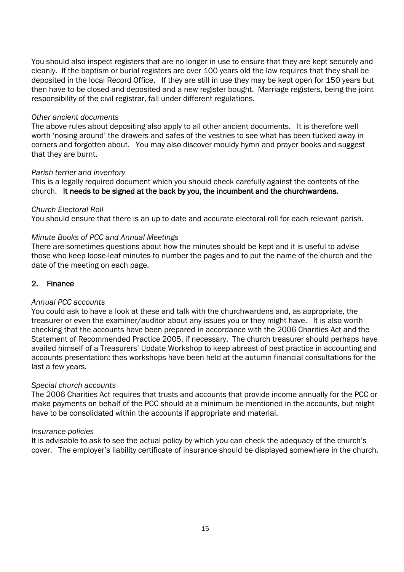You should also inspect registers that are no longer in use to ensure that they are kept securely and cleanly. If the baptism or burial registers are over 100 years old the law requires that they shall be deposited in the local Record Office. If they are still in use they may be kept open for 150 years but then have to be closed and deposited and a new register bought. Marriage registers, being the joint responsibility of the civil registrar, fall under different regulations.

#### *Other ancient documents*

The above rules about depositing also apply to all other ancient documents. It is therefore well worth 'nosing around' the drawers and safes of the vestries to see what has been tucked away in corners and forgotten about. You may also discover mouldy hymn and prayer books and suggest that they are burnt.

#### *Parish terrier and inventory*

This is a legally required document which you should check carefully against the contents of the church. It needs to be signed at the back by you, the incumbent and the churchwardens.

#### *Church Electoral Roll*

You should ensure that there is an up to date and accurate electoral roll for each relevant parish.

#### *Minute Books of PCC and Annual Meetings*

There are sometimes questions about how the minutes should be kept and it is useful to advise those who keep loose-leaf minutes to number the pages and to put the name of the church and the date of the meeting on each page.

#### 2. Finance

#### *Annual PCC accounts*

You could ask to have a look at these and talk with the churchwardens and, as appropriate, the treasurer or even the examiner/auditor about any issues you or they might have. It is also worth checking that the accounts have been prepared in accordance with the 2006 Charities Act and the Statement of Recommended Practice 2005, if necessary. The church treasurer should perhaps have availed himself of a Treasurers' Update Workshop to keep abreast of best practice in accounting and accounts presentation; thes workshops have been held at the autumn financial consultations for the last a few years.

#### *Special church accounts*

The 2006 Charities Act requires that trusts and accounts that provide income annually for the PCC or make payments on behalf of the PCC should at a minimum be mentioned in the accounts, but might have to be consolidated within the accounts if appropriate and material.

#### *Insurance policies*

It is advisable to ask to see the actual policy by which you can check the adequacy of the church's cover. The employer's liability certificate of insurance should be displayed somewhere in the church.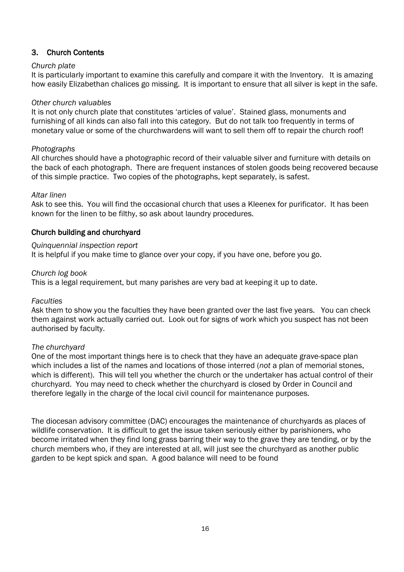## 3. Church Contents

### *Church plate*

It is particularly important to examine this carefully and compare it with the Inventory. It is amazing how easily Elizabethan chalices go missing. It is important to ensure that all silver is kept in the safe.

### *Other church valuables*

It is not only church plate that constitutes 'articles of value'. Stained glass, monuments and furnishing of all kinds can also fall into this category. But do not talk too frequently in terms of monetary value or some of the churchwardens will want to sell them off to repair the church roof!

### *Photographs*

All churches should have a photographic record of their valuable silver and furniture with details on the back of each photograph. There are frequent instances of stolen goods being recovered because of this simple practice. Two copies of the photographs, kept separately, is safest.

#### *Altar linen*

Ask to see this. You will find the occasional church that uses a Kleenex for purificator. It has been known for the linen to be filthy, so ask about laundry procedures.

## Church building and churchyard

### *Quinquennial inspection report*

It is helpful if you make time to glance over your copy, if you have one, before you go.

### *Church log book*

This is a legal requirement, but many parishes are very bad at keeping it up to date.

#### *Faculties*

Ask them to show you the faculties they have been granted over the last five years. You can check them against work actually carried out. Look out for signs of work which you suspect has not been authorised by faculty.

## *The churchyard*

One of the most important things here is to check that they have an adequate grave-space plan which includes a list of the names and locations of those interred (*not* a plan of memorial stones, which is different). This will tell you whether the church or the undertaker has actual control of their churchyard. You may need to check whether the churchyard is closed by Order in Council and therefore legally in the charge of the local civil council for maintenance purposes.

The diocesan advisory committee (DAC) encourages the maintenance of churchyards as places of wildlife conservation. It is difficult to get the issue taken seriously either by parishioners, who become irritated when they find long grass barring their way to the grave they are tending, or by the church members who, if they are interested at all, will just see the churchyard as another public garden to be kept spick and span. A good balance will need to be found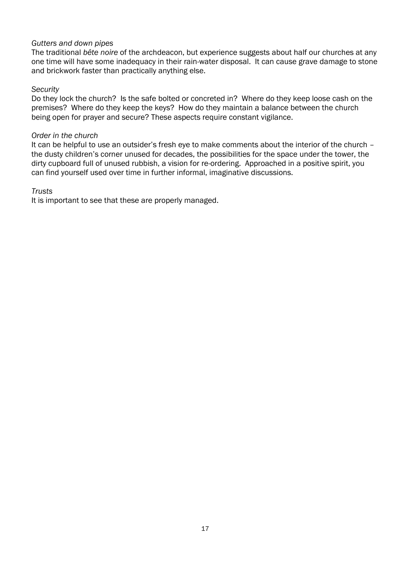### *Gutters and down pipes*

The traditional *bête noire* of the archdeacon, but experience suggests about half our churches at any one time will have some inadequacy in their rain-water disposal. It can cause grave damage to stone and brickwork faster than practically anything else.

### *Security*

Do they lock the church? Is the safe bolted or concreted in? Where do they keep loose cash on the premises? Where do they keep the keys? How do they maintain a balance between the church being open for prayer and secure? These aspects require constant vigilance.

#### *Order in the church*

It can be helpful to use an outsider's fresh eye to make comments about the interior of the church – the dusty children's corner unused for decades, the possibilities for the space under the tower, the dirty cupboard full of unused rubbish, a vision for re-ordering. Approached in a positive spirit, you can find yourself used over time in further informal, imaginative discussions.

#### *Trusts*

It is important to see that these are properly managed.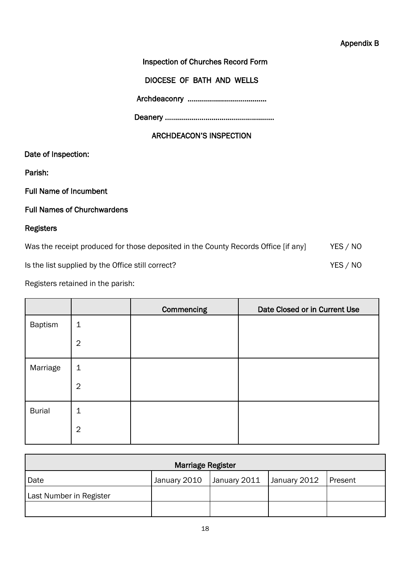## Inspection of Churches Record Form

DIOCESE OF BATH AND WELLS

Archdeaconry …………………………………

Deanery ………………………………………………

## ARCHDEACON'S INSPECTION

Date of Inspection:

Parish:

Full Name of Incumbent

## Full Names of Churchwardens

# Registers

| Was the receipt produced for those deposited in the County Records Office [if any] | YES / NO |
|------------------------------------------------------------------------------------|----------|
| Is the list supplied by the Office still correct?                                  | YES / NO |

Registers retained in the parish:

|               |                | Commencing | Date Closed or in Current Use |
|---------------|----------------|------------|-------------------------------|
| Baptism       | $\mathbf 1$    |            |                               |
|               | $\overline{2}$ |            |                               |
| Marriage      | $\mathbf{1}$   |            |                               |
|               | $\overline{2}$ |            |                               |
| <b>Burial</b> | $\mathbf 1$    |            |                               |
|               | $\overline{2}$ |            |                               |

| <b>Marriage Register</b> |              |              |                        |  |
|--------------------------|--------------|--------------|------------------------|--|
| Date                     | January 2010 | January 2011 | January 2012   Present |  |
| Last Number in Register  |              |              |                        |  |
|                          |              |              |                        |  |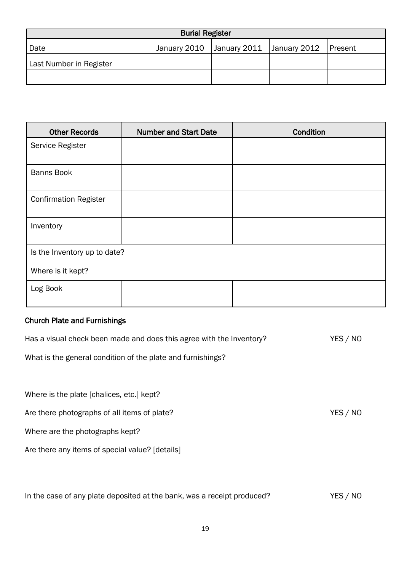| <b>Burial Register</b>  |  |                                                      |  |  |
|-------------------------|--|------------------------------------------------------|--|--|
| Date                    |  | January 2010   January 2011   January 2012   Present |  |  |
| Last Number in Register |  |                                                      |  |  |
|                         |  |                                                      |  |  |

| <b>Other Records</b>         | <b>Number and Start Date</b> | Condition |
|------------------------------|------------------------------|-----------|
| Service Register             |                              |           |
| <b>Banns Book</b>            |                              |           |
| <b>Confirmation Register</b> |                              |           |
| Inventory                    |                              |           |
| Is the Inventory up to date? |                              |           |
| Where is it kept?            |                              |           |
| Log Book                     |                              |           |

## Church Plate and Furnishings

Has a visual check been made and does this agree with the Inventory? YES / NO What is the general condition of the plate and furnishings? Where is the plate [chalices, etc.] kept? Are there photographs of all items of plate? Are there is a very set of plate of plate?

Where are the photographs kept?

Are there any items of special value? [details]

In the case of any plate deposited at the bank, was a receipt produced? YES / NO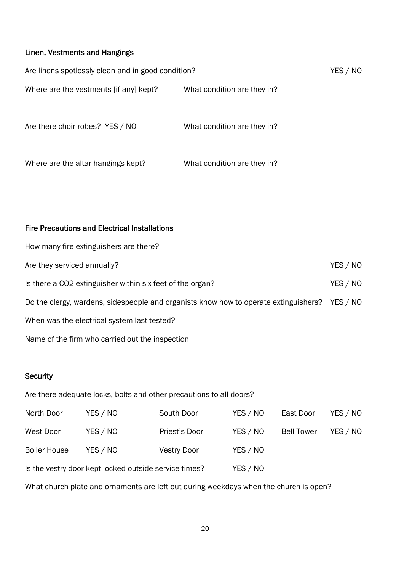# Linen, Vestments and Hangings

| Are linens spotlessly clean and in good condition? |                             | YES / NO |
|----------------------------------------------------|-----------------------------|----------|
| Where are the vestments [if any] kept?             | What condition are they in? |          |
| Are there choir robes? YES / NO                    | What condition are they in? |          |
| Where are the altar hangings kept?                 | What condition are they in? |          |

## Fire Precautions and Electrical Installations

| How many fire extinguishers are there?                                               |          |
|--------------------------------------------------------------------------------------|----------|
| Are they serviced annually?                                                          | YES / NO |
| Is there a CO2 extinguisher within six feet of the organ?                            | YES / NO |
| Do the clergy, wardens, sidespeople and organists know how to operate extinguishers? | YES / NO |
| When was the electrical system last tested?                                          |          |
| Name of the firm who carried out the inspection                                      |          |

### **Security**

|                     |                                                       | Are there adequate locks, bolts and other precautions to all doors?                   |          |                   |          |
|---------------------|-------------------------------------------------------|---------------------------------------------------------------------------------------|----------|-------------------|----------|
| North Door          | YES / NO                                              | South Door                                                                            | YES / NO | East Door         | YES / NO |
| West Door           | YES / NO                                              | Priest's Door                                                                         | YES / NO | <b>Bell Tower</b> | YES / NO |
| <b>Boiler House</b> | YES / NO                                              | <b>Vestry Door</b>                                                                    | YES / NO |                   |          |
|                     | Is the vestry door kept locked outside service times? |                                                                                       | YES / NO |                   |          |
|                     |                                                       | What church plate and ornaments are left out during weekdays when the church is open? |          |                   |          |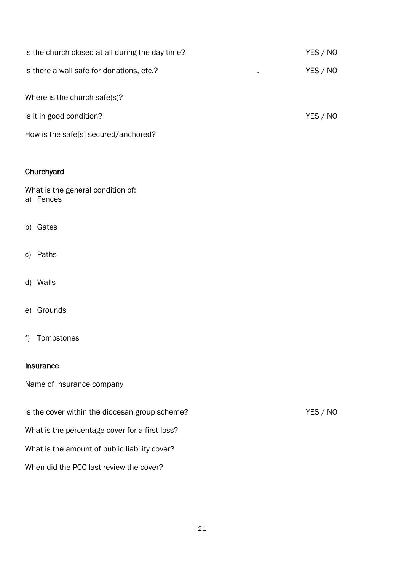| Is the church closed at all during the day time?            | YES / NO |
|-------------------------------------------------------------|----------|
| Is there a wall safe for donations, etc.?<br>$\blacksquare$ | YES / NO |
| Where is the church safe(s)?                                |          |
| Is it in good condition?                                    | YES / NO |
| How is the safe[s] secured/anchored?                        |          |

# **Churchyard**

What is the general condition of: a) Fences

- b) Gates
- c) Paths
- d) Walls
- e) Grounds
- f) Tombstones

#### Insurance

Name of insurance company

Is the cover within the diocesan group scheme? YES / NO What is the percentage cover for a first loss? What is the amount of public liability cover?

When did the PCC last review the cover?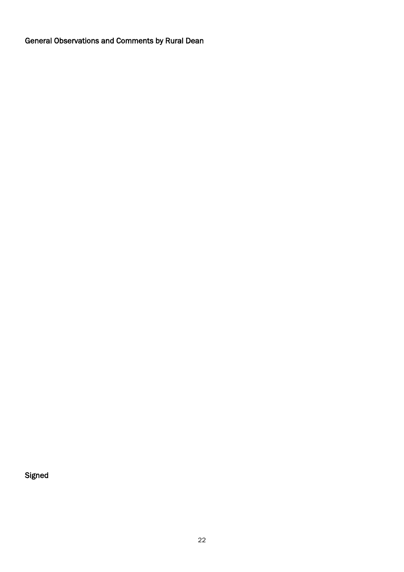General Observations and Comments by Rural Dean

Signed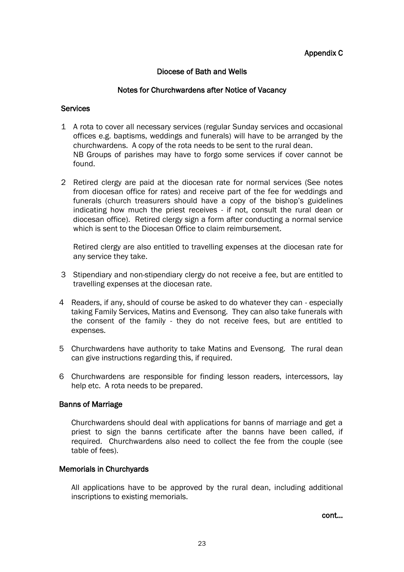## Appendix C

## Diocese of Bath and Wells

### Notes for Churchwardens after Notice of Vacancy

#### **Services**

- 1 A rota to cover all necessary services (regular Sunday services and occasional offices e.g. baptisms, weddings and funerals) will have to be arranged by the churchwardens. A copy of the rota needs to be sent to the rural dean. NB Groups of parishes may have to forgo some services if cover cannot be found.
- 2 Retired clergy are paid at the diocesan rate for normal services (See notes from diocesan office for rates) and receive part of the fee for weddings and funerals (church treasurers should have a copy of the bishop's guidelines indicating how much the priest receives - if not, consult the rural dean or diocesan office). Retired clergy sign a form after conducting a normal service which is sent to the Diocesan Office to claim reimbursement.

Retired clergy are also entitled to travelling expenses at the diocesan rate for any service they take.

- 3 Stipendiary and non-stipendiary clergy do not receive a fee, but are entitled to travelling expenses at the diocesan rate.
- 4 Readers, if any, should of course be asked to do whatever they can especially taking Family Services, Matins and Evensong. They can also take funerals with the consent of the family - they do not receive fees, but are entitled to expenses.
- 5 Churchwardens have authority to take Matins and Evensong. The rural dean can give instructions regarding this, if required.
- 6 Churchwardens are responsible for finding lesson readers, intercessors, lay help etc. A rota needs to be prepared.

#### Banns of Marriage

Churchwardens should deal with applications for banns of marriage and get a priest to sign the banns certificate after the banns have been called, if required. Churchwardens also need to collect the fee from the couple (see table of fees).

#### Memorials in Churchyards

All applications have to be approved by the rural dean, including additional inscriptions to existing memorials.

cont…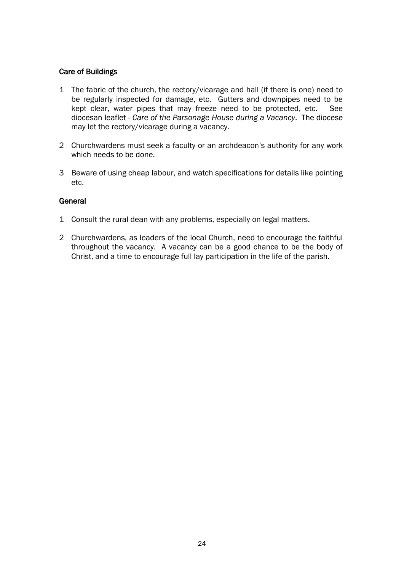## Care of Buildings

- 1 The fabric of the church, the rectory/vicarage and hall (if there is one) need to be regularly inspected for damage, etc. Gutters and downpipes need to be kept clear, water pipes that may freeze need to be protected, etc. See diocesan leaflet - *Care of the Parsonage House during a Vacancy*. The diocese may let the rectory/vicarage during a vacancy.
- 2 Churchwardens must seek a faculty or an archdeacon's authority for any work which needs to be done.
- 3 Beware of using cheap labour, and watch specifications for details like pointing etc.

### General

- 1 Consult the rural dean with any problems, especially on legal matters.
- 2 Churchwardens, as leaders of the local Church, need to encourage the faithful throughout the vacancy. A vacancy can be a good chance to be the body of Christ, and a time to encourage full lay participation in the life of the parish.